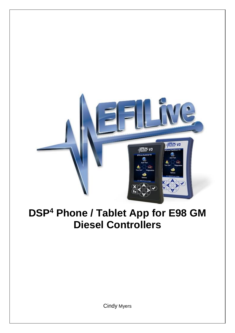

# **DSP<sup>4</sup> Phone / Tablet App for E98 GM Diesel Controllers**

Cindy Myers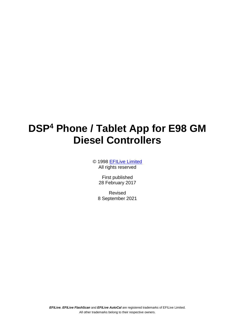## **DSP<sup>4</sup> Phone / Tablet App for E98 GM Diesel Controllers**

© 1998 [EFILive Limited](http://www.efilive.com/) All rights reserved

> First published 28 February 2017

Revised 8 September 2021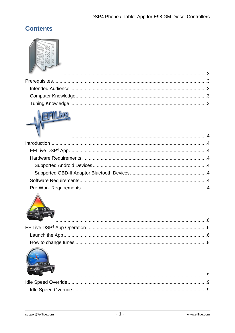### **Contents**



| $\mathcal{L}$ |  |
|---------------|--|
|               |  |
|               |  |
|               |  |
|               |  |
|               |  |

# IVC.



| <u>the contract of the contract of the contract of the contract of the contract of the contract of the contract of the contract of the contract of the contract of the contract of the contract of the contract of the contract </u> |  |
|--------------------------------------------------------------------------------------------------------------------------------------------------------------------------------------------------------------------------------------|--|
|                                                                                                                                                                                                                                      |  |
|                                                                                                                                                                                                                                      |  |
|                                                                                                                                                                                                                                      |  |



| <b>Contract Contract Contract Contract Contract Contract Contract Contract Contract Contract Contract Contract Contract Contract Contract Contract Contract Contract Contract Contract Contract Contract Contract Contract Contr</b> |  |
|--------------------------------------------------------------------------------------------------------------------------------------------------------------------------------------------------------------------------------------|--|
|                                                                                                                                                                                                                                      |  |
|                                                                                                                                                                                                                                      |  |
|                                                                                                                                                                                                                                      |  |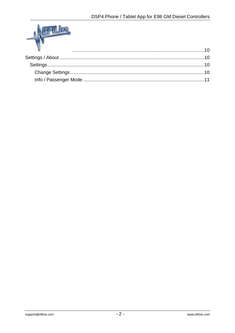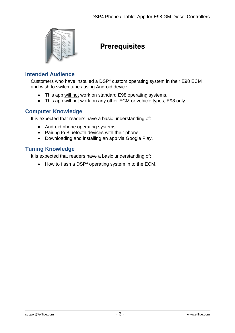<span id="page-4-0"></span>

## <span id="page-4-1"></span>**Prerequisites**

#### <span id="page-4-2"></span>**Intended Audience**

Customers who have installed a DSP<sup>4</sup> custom operating system in their E98 ECM and wish to switch tunes using Android device.

- This app will not work on standard E98 operating systems.
- This app will not work on any other ECM or vehicle types, E98 only.

#### <span id="page-4-3"></span>**Computer Knowledge**

It is expected that readers have a basic understanding of:

- Android phone operating systems.
- Pairing to Bluetooth devices with their phone.
- Downloading and installing an app via Google Play.

#### <span id="page-4-4"></span>**Tuning Knowledge**

It is expected that readers have a basic understanding of:

 $\bullet$  How to flash a DSP<sup>4</sup> operating system in to the ECM.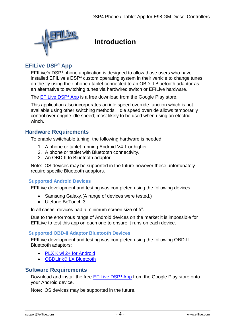<span id="page-5-0"></span>

## <span id="page-5-1"></span>**Introduction**

#### <span id="page-5-2"></span>**EFILive DSP<sup>4</sup> App**

EFILive's DSP<sup>4</sup> phone application is designed to allow those users who have installed EFILive's DSP<sup>4</sup> custom operating system in their vehicle to change tunes on the fly using their phone / tablet connected to an OBD-II Bluetooth adaptor as an alternative to switching tunes via hardwired switch or EFILive hardware.

The **EFILive DSP<sup>4</sup> App** is a free download from the Google Play store.

This application also incorporates an idle speed override function which is not available using other switching methods. Idle speed override allows temporarily control over engine idle speed; most likely to be used when using an electric winch.

#### <span id="page-5-3"></span>**Hardware Requirements**

To enable switchable tuning, the following hardware is needed:

- 1. A phone or tablet running Android V4.1 or higher.
- 2. A phone or tablet with Bluetooth connectivity.
- 3. An OBD-II to Bluetooth adaptor.

Note: iOS devices may be supported in the future however these unfortunately require specific Bluetooth adaptors.

#### <span id="page-5-4"></span>**Supported Android Devices**

EFILive development and testing was completed using the following devices:

- Samsung Galaxy. (A range of devices were tested.)
- Ulefone BeTouch 3.

In all cases, devices had a minimum screen size of 5".

Due to the enormous range of Android devices on the market it is impossible for EFILive to test this app on each one to ensure it runs on each device.

#### <span id="page-5-5"></span>**Supported OBD-II Adaptor Bluetooth Devices**

EFILive development and testing was completed using the following OBD-II Bluetooth adaptors:

- [PLX Kiwi 2+ for Android](http://www.plxdevices.com/ProductDetails.asp?ProductCode=897346002863-897346002856)
- [OBDLink® LX Bluetooth](http://www.obdlink.com/lxbt/)

#### <span id="page-5-6"></span>**Software Requirements**

Download and install the free [EFILive DSP](https://play.google.com/store/apps/details?id=com.efilive.EFILiveDSP4)<sup>4</sup> App from the Google Play store onto your Android device.

<span id="page-5-7"></span>Note: iOS devices may be supported in the future.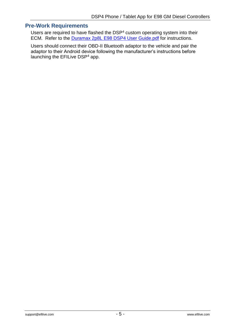#### **Pre-Work Requirements**

Users are required to have flashed the DSP<sup>4</sup> custom operating system into their ECM. Refer to the Duramax 2p8L E98 [DSP4 User Guide.pdf](https://download.efilive.com/Tutorials/PDF/Duramax%202p8L%20E98%20DSP4%20User%20Guide.pdf) for instructions.

Users should connect their OBD-II Bluetooth adaptor to the vehicle and pair the adaptor to their Android device following the manufacturer's instructions before launching the EFILive DSP<sup>4</sup> app.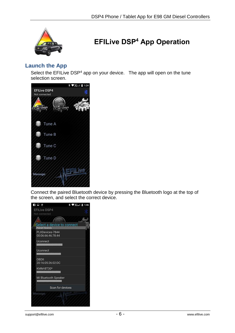<span id="page-7-0"></span>

## <span id="page-7-1"></span>**EFILive DSP<sup>4</sup> App Operation**

#### <span id="page-7-2"></span>**Launch the App**

Select the EFILive DSP $4$  app on your device. The app will open on the tune selection screen.



Connect the paired Bluetooth device by pressing the Bluetooth logo at the top of the screen, and select the correct device.

| 子园业                                                 | <b>* ♥3G』 图 1:46</b> |
|-----------------------------------------------------|----------------------|
| <b>EFILive DSP4</b>                                 |                      |
| Not connected                                       |                      |
|                                                     |                      |
| Select a device to connect<br><b>Paired Devices</b> |                      |
| PLXDevices-7844<br>00:06:66:46:78:44                |                      |
| Uconnect                                            |                      |
| Uconnect                                            |                      |
| OBDIL<br>20:16:05:26:02:DC                          |                      |
| KMM-BT30*                                           |                      |
| Mi Bluetooth Speaker                                |                      |
| Scan for devices                                    |                      |
| Message:                                            |                      |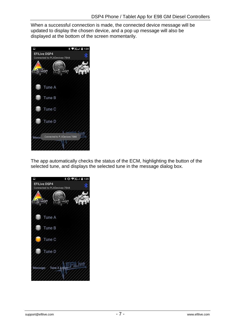When a successful connection is made, the connected device message will be updated to display the chosen device, and a pop up message will also be displayed at the bottom of the screen momentarily.



The app automatically checks the status of the ECM, highlighting the button of the selected tune, and displays the selected tune in the message dialog box.

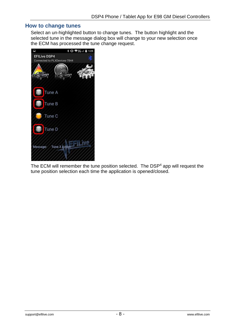#### <span id="page-9-0"></span>**How to change tunes**

Select an un-highlighted button to change tunes. The button highlight and the selected tune in the message dialog box will change to your new selection once the ECM has processed the tune change request.



The ECM will remember the tune position selected. The DSP<sup>4</sup> app will request the tune position selection each time the application is opened/closed.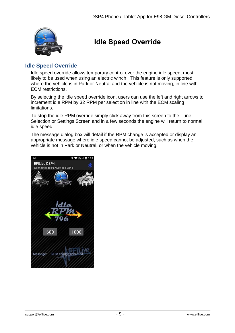<span id="page-10-0"></span>

## <span id="page-10-1"></span>**Idle Speed Override**

#### <span id="page-10-2"></span>**Idle Speed Override**

Idle speed override allows temporary control over the engine idle speed; most likely to be used when using an electric winch. This feature is only supported where the vehicle is in Park or Neutral and the vehicle is not moving, in line with ECM restrictions.

By selecting the idle speed override icon, users can use the left and right arrows to increment idle RPM by 32 RPM per selection in line with the ECM scaling **limitations** 

To stop the idle RPM override simply click away from this screen to the Tune Selection or Settings Screen and in a few seconds the engine will return to normal idle speed.

The message dialog box will detail if the RPM change is accepted or display an appropriate message where idle speed cannot be adjusted, such as when the vehicle is not in Park or Neutral, or when the vehicle moving.

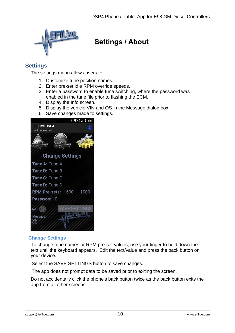<span id="page-11-0"></span>

## <span id="page-11-1"></span>**Settings / About**

#### <span id="page-11-2"></span>**Settings**

The settings menu allows users to:

- 1. Customize tune position names.
- 2. Enter pre-set idle RPM override speeds.
- 3. Enter a password to enable tune switching, where the password was enabled in the tune file prior to flashing the ECM.
- 4. Display the Info screen.
- 5. Display the vehicle VIN and OS in the Message dialog box.
- 6. Save changes made to settings.



#### <span id="page-11-3"></span>**Change Settings**

To change tune names or RPM pre-set values, use your finger to hold down the text until the keyboard appears. Edit the text/value and press the back button on your device.

Select the SAVE SETTINGS button to save changes.

The app does not prompt data to be saved prior to exiting the screen.

Do not accidentally click the phone's back button twice as the back button exits the app from all other screens.